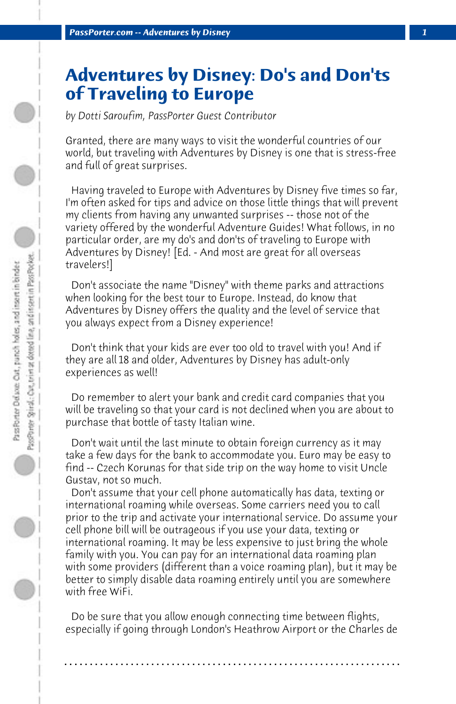## **Adventures by Disney: Do's and Don'ts of Traveling to Europe**

*by Dotti Saroufim, PassPorter Guest Contributor*

Granted, there are many ways to visit the wonderful countries of our world, but traveling with Adventures by Disney is one that is stress-free and full of great surprises.

 Having traveled to Europe with Adventures by Disney five times so far, I'm often asked for tips and advice on those little things that will prevent my clients from having any unwanted surprises -- those not of the variety offered by the wonderful Adventure Guides! What follows, in no particular order, are my do's and don'ts of traveling to Europe with Adventures by Disney! [Ed. - And most are great for all overseas travelers!]

 Don't associate the name "Disney" with theme parks and attractions when looking for the best tour to Europe. Instead, do know that Adventures by Disney offers the quality and the level of service that you always expect from a Disney experience!

 Don't think that your kids are ever too old to travel with you! And if they are all 18 and older, Adventures by Disney has adult-only experiences as well!

 Do remember to alert your bank and credit card companies that you will be traveling so that your card is not declined when you are about to purchase that bottle of tasty Italian wine.

 Don't wait until the last minute to obtain foreign currency as it may take a few days for the bank to accommodate you. Euro may be easy to find -- Czech Korunas for that side trip on the way home to visit Uncle Gustav, not so much.

 Don't assume that your cell phone automatically has data, texting or international roaming while overseas. Some carriers need you to call prior to the trip and activate your international service. Do assume your cell phone bill will be outrageous if you use your data, texting or international roaming. It may be less expensive to just bring the whole family with you. You can pay for an international data roaming plan with some providers (different than a voice roaming plan), but it may be better to simply disable data roaming entirely until you are somewhere with free WiFi.

 Do be sure that you allow enough connecting time between flights, especially if going through London's Heathrow Airport or the Charles de

**. . . . . . . . . . . . . . . . . . . . . . . . . . . . . . . . . . . . . . . . . . . . . . . . . . . . . . . . . . . . . . . . . .**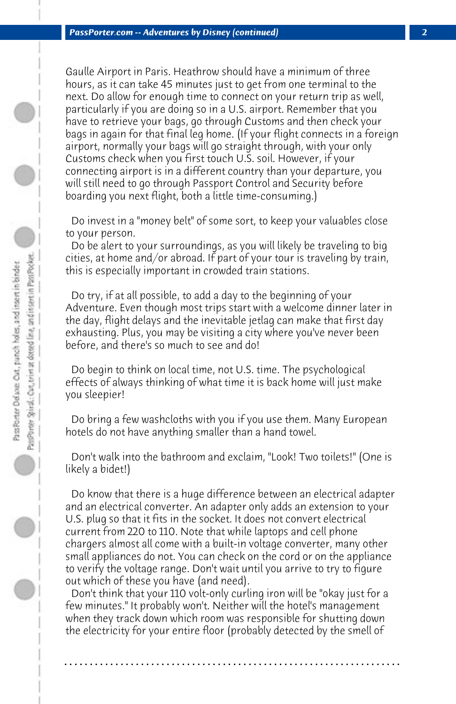Gaulle Airport in Paris. Heathrow should have a minimum of three hours, as it can take 45 minutes just to get from one terminal to the next. Do allow for enough time to connect on your return trip as well, particularly if you are doing so in a U.S. airport. Remember that you have to retrieve your bags, go through Customs and then check your bags in again for that final leg home. (If your flight connects in a foreign airport, normally your bags will go straight through, with your only Customs check when you first touch U.S. soil. However, if your connecting airport is in a different country than your departure, you will still need to go through Passport Control and Security before boarding you next flight, both a little time-consuming.)

 Do invest in a "money belt" of some sort, to keep your valuables close to your person.

 Do be alert to your surroundings, as you will likely be traveling to big cities, at home and/or abroad. If part of your tour is traveling by train, this is especially important in crowded train stations.

 Do try, if at all possible, to add a day to the beginning of your Adventure. Even though most trips start with a welcome dinner later in the day, flight delays and the inevitable jetlag can make that first day exhausting. Plus, you may be visiting a city where you've never been before, and there's so much to see and do!

 Do begin to think on local time, not U.S. time. The psychological effects of always thinking of what time it is back home will just make you sleepier!

 Do bring a few washcloths with you if you use them. Many European hotels do not have anything smaller than a hand towel.

 Don't walk into the bathroom and exclaim, "Look! Two toilets!" (One is likely a bidet!)

 Do know that there is a huge difference between an electrical adapter and an electrical converter. An adapter only adds an extension to your U.S. plug so that it fits in the socket. It does not convert electrical current from 220 to 110. Note that while laptops and cell phone chargers almost all come with a built-in voltage converter, many other small appliances do not. You can check on the cord or on the appliance to verify the voltage range. Don't wait until you arrive to try to figure out which of these you have (and need).

 Don't think that your 110 volt-only curling iron will be "okay just for a few minutes." It probably won't. Neither will the hotel's management when they track down which room was responsible for shutting down the electricity for your entire floor (probably detected by the smell of

**. . . . . . . . . . . . . . . . . . . . . . . . . . . . . . . . . . . . . . . . . . . . . . . . . . . . . . . . . . . . . . . . . .**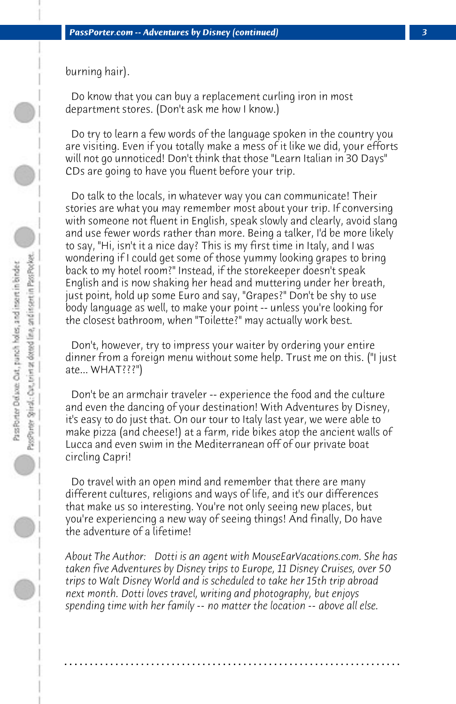burning hair).

 Do know that you can buy a replacement curling iron in most department stores. (Don't ask me how I know.)

 Do try to learn a few words of the language spoken in the country you are visiting. Even if you totally make a mess of it like we did, your efforts will not go unnoticed! Don't think that those "Learn Italian in 30 Days" CDs are going to have you fluent before your trip.

 Do talk to the locals, in whatever way you can communicate! Their stories are what you may remember most about your trip. If conversing with someone not fluent in English, speak slowly and clearly, avoid slang and use fewer words rather than more. Being a talker, I'd be more likely to say, "Hi, isn't it a nice day? This is my first time in Italy, and I was wondering if I could get some of those yummy looking grapes to bring back to my hotel room?" Instead, if the storekeeper doesn't speak English and is now shaking her head and muttering under her breath, just point, hold up some Euro and say, "Grapes?" Don't be shy to use body language as well, to make your point -- unless you're looking for the closest bathroom, when "Toilette?" may actually work best.

 Don't, however, try to impress your waiter by ordering your entire dinner from a foreign menu without some help. Trust me on this. ("I just ate... WHAT???")

 Don't be an armchair traveler -- experience the food and the culture and even the dancing of your destination! With Adventures by Disney, it's easy to do just that. On our tour to Italy last year, we were able to make pizza (and cheese!) at a farm, ride bikes atop the ancient walls of Lucca and even swim in the Mediterranean off of our private boat circling Capri!

 Do travel with an open mind and remember that there are many different cultures, religions and ways of life, and it's our differences that make us so interesting. You're not only seeing new places, but you're experiencing a new way of seeing things! And finally, Do have the adventure of a lifetime!

*About The Author: Dotti is an agent with MouseEarVacations.com. She has taken five Adventures by Disney trips to Europe, 11 Disney Cruises, over 50 trips to Walt Disney World and is scheduled to take her 15th trip abroad next month. Dotti loves travel, writing and photography, but enjoys spending time with her family -- no matter the location -- above all else.*

**. . . . . . . . . . . . . . . . . . . . . . . . . . . . . . . . . . . . . . . . . . . . . . . . . . . . . . . . . . . . . . . . . .**